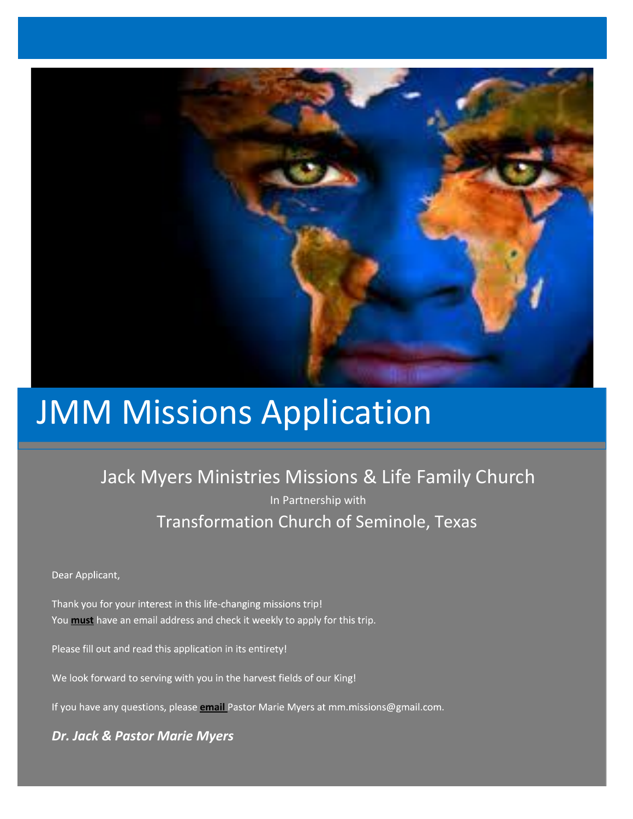

## JMM Missions Application

### Jack Myers Ministries Missions & Life Family Church In Partnership with Transformation Church of Seminole, Texas

Dear Applicant,

Thank you for your interest in this life-changing missions trip! You must have an email address and check it weekly to apply for this trip.

Please fill out and read this application in its entirety!

We look forward to serving with you in the harvest fields of our King!

If you have any questions, please email Pastor Marie Myers at mm.missions@gmail.com.

*Dr. Jack & Pastor Marie Myers*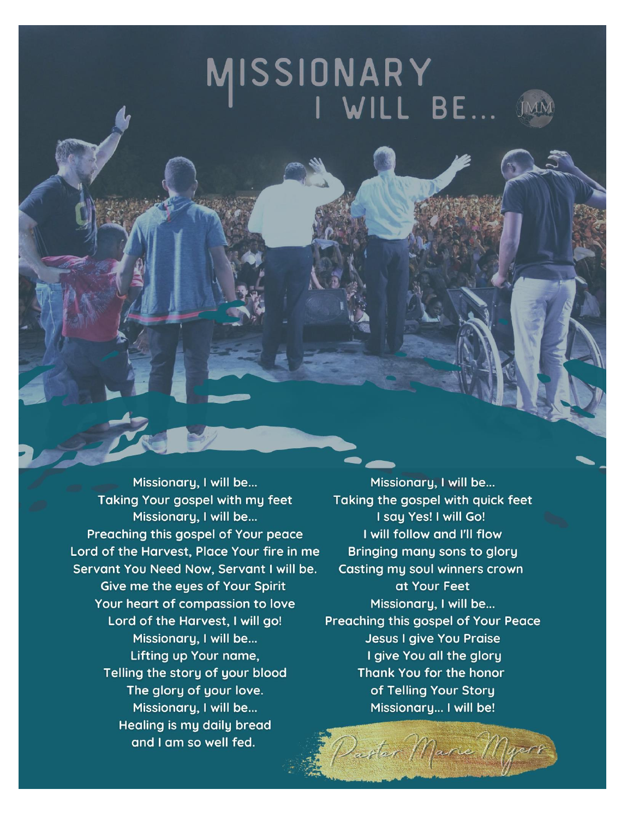# MISSIONARY

Missionary, I will be... Taking Your gospel with my feet Missionary, I will be... Preaching this gospel of Your peace Lord of the Harvest, Place Your fire in me Servant You Need Now, Servant I will be. Give me the eyes of Your Spirit Your heart of compassion to love Lord of the Harvest, I will go! Missionary, I will be... Lifting up Your name, Telling the story of your blood The glory of your love. Missionary, I will be... Healing is my daily bread and I am so well fed.

Missionary, I will be... Taking the gospel with quick feet I say Yes! I will Go! I will follow and I'll flow Bringing many sons to glory **Casting my soul winners crown** at Your Feet Missionary, I will be... Preaching this gospel of Your Peace **Jesus I give You Praise** I give You all the glory Thank You for the honor of Telling Your Story Missionary... I will be!

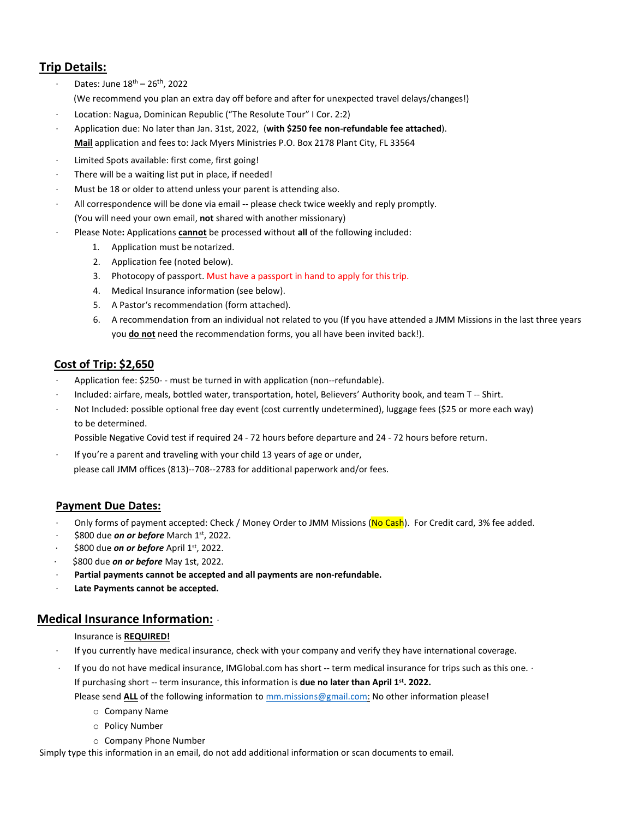#### **Trip Details:**

- ∙ Dates: June 18<sup>th</sup> 26<sup>th</sup>, 2022
- (We recommend you plan an extra day off before and after for unexpected travel delays/changes!)
- ∙ Location: Nagua, Dominican Republic ("The Resolute Tour" I Cor. 2:2)
- ∙ Application due: No later than Jan. 31st, 2022, (**with \$250 fee non-refundable fee attached**). **Mail** application and fees to: Jack Myers Ministries P.O. Box 2178 Plant City, FL 33564
- ∙ Limited Spots available: first come, first going!
- There will be a waiting list put in place, if needed!
- ∙ Must be 18 or older to attend unless your parent is attending also.
- ∙ All correspondence will be done via email -- please check twice weekly and reply promptly. (You will need your own email, **not** shared with another missionary)
- ∙ Please Note**:** Applications **cannot** be processed without **all** of the following included:
	- 1. Application must be notarized.
	- 2. Application fee (noted below).
	- 3. Photocopy of passport. Must have a passport in hand to apply for this trip.
	- 4. Medical Insurance information (see below).
	- 5. A Pastor's recommendation (form attached).
	- 6. A recommendation from an individual not related to you (If you have attended a JMM Missions in the last three years you **do not** need the recommendation forms, you all have been invited back!).

#### **Cost of Trip: \$2,650**

- ∙ Application fee: \$250- must be turned in with application (non--refundable).
- ∙ Included: airfare, meals, bottled water, transportation, hotel, Believers' Authority book, and team T -- Shirt.
- ∙ Not Included: possible optional free day event (cost currently undetermined), luggage fees (\$25 or more each way) to be determined.

Possible Negative Covid test if required 24 - 72 hours before departure and 24 - 72 hours before return.

∙ If you're a parent and traveling with your child 13 years of age or under, please call JMM offices (813)--708--2783 for additional paperwork and/or fees.

#### **Payment Due Dates:**

- Only forms of payment accepted: Check / Money Order to JMM Missions (No Cash). For Credit card, 3% fee added.
- ∙ \$800 due *on or before* March 1st , 2022.
- ∙ \$800 due *on or before* April 1st , 2022.
- ∙ \$800 due *on or before* May 1st, 2022.
- ∙ **Partial payments cannot be accepted and all payments are non-refundable.**
- ∙ **Late Payments cannot be accepted.**

#### **Medical Insurance Information:** ∙

#### Insurance is **REQUIRED!**

- ∙ If you currently have medical insurance, check with your company and verify they have international coverage.
- ∙ If you do not have medical insurance, IMGlobal.com has short -- term medical insurance for trips such as this one. ∙ If purchasing short -- term insurance, this information is **due no later than April 1 st . 2022.**

Please send **ALL** of the following information to [mm.missions@gmail.com:](mailto:mm.missions@gmail.com) No other information please!

- o Company Name
- o Policy Number
- o Company Phone Number

Simply type this information in an email, do not add additional information or scan documents to email.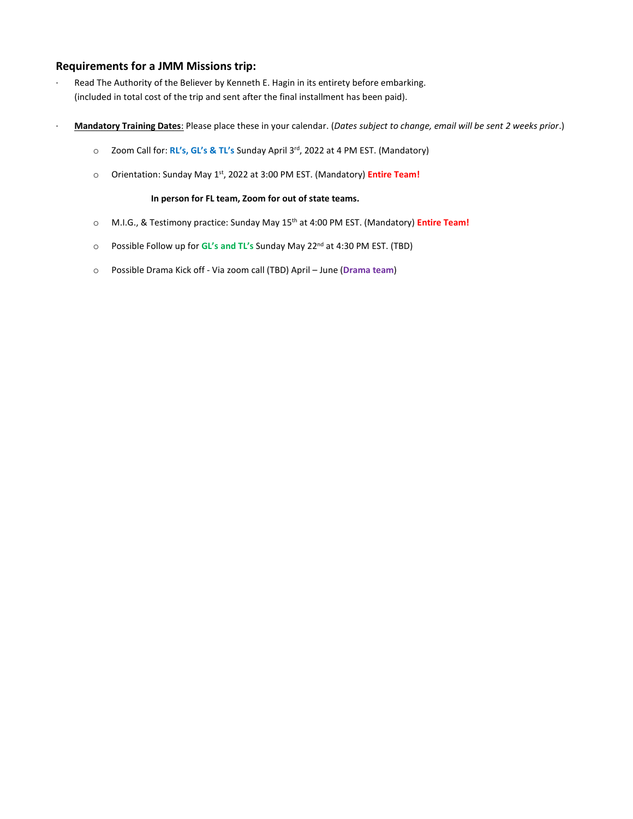#### **Requirements for a JMM Missions trip:**

- Read The Authority of the Believer by Kenneth E. Hagin in its entirety before embarking. (included in total cost of the trip and sent after the final installment has been paid).
- ∙ **Mandatory Training Dates**: Please place these in your calendar. (*Dates subject to change, email will be sent 2 weeks prior*.)
	- o Zoom Call for: **RL's, GL's & TL's** Sunday April 3rd, 2022 at 4 PM EST. (Mandatory)
	- o Orientation: Sunday May 1<sup>st</sup>, 2022 at 3:00 PM EST. (Mandatory) **Entire Team!**

#### **In person for FL team, Zoom for out of state teams.**

- o M.I.G., & Testimony practice: Sunday May 15<sup>th</sup> at 4:00 PM EST. (Mandatory) **Entire Team!**
- o Possible Follow up for **GL's and TL's** Sunday May 22 nd at 4:30 PM EST. (TBD)
- o Possible Drama Kick off Via zoom call (TBD) April June (**Drama team**)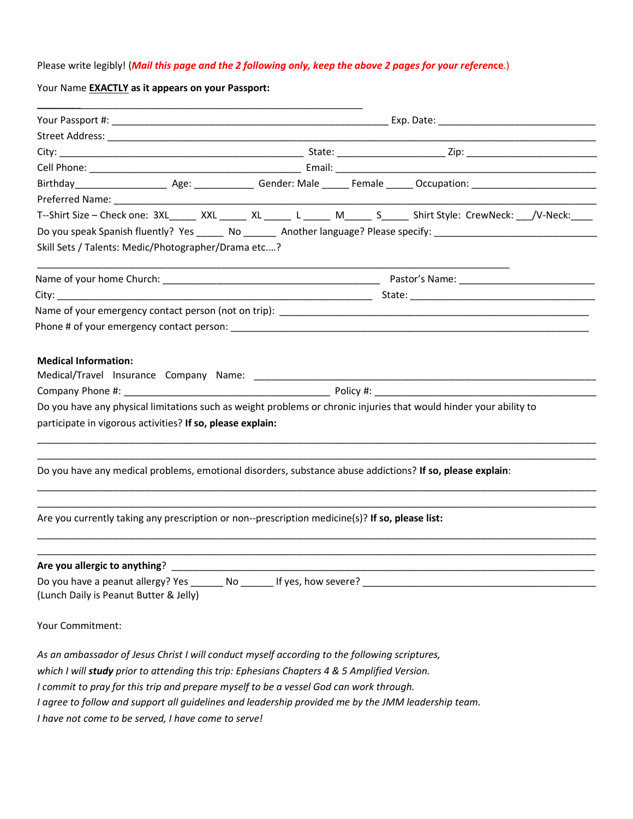#### Please write legibly! (Mail this page and the 2 following only, keep the above 2 pages for your reference.)

Your Name **EXACTLY as it appears on your Passport:**

|                                                            |  |                                                                                                     |  | T--Shirt Size - Check one: 3XL_____ XXL _____ XL _____ L _____ M_____ S_____ Shirt Style: CrewNeck: ___/V-Neck:____ |  |
|------------------------------------------------------------|--|-----------------------------------------------------------------------------------------------------|--|---------------------------------------------------------------------------------------------------------------------|--|
|                                                            |  |                                                                                                     |  | Do you speak Spanish fluently? Yes ______ No _______ Another language? Please specify: _______________________      |  |
| Skill Sets / Talents: Medic/Photographer/Drama etc?        |  |                                                                                                     |  |                                                                                                                     |  |
|                                                            |  |                                                                                                     |  |                                                                                                                     |  |
|                                                            |  |                                                                                                     |  |                                                                                                                     |  |
|                                                            |  |                                                                                                     |  |                                                                                                                     |  |
|                                                            |  |                                                                                                     |  |                                                                                                                     |  |
|                                                            |  |                                                                                                     |  |                                                                                                                     |  |
| <b>Medical Information:</b>                                |  |                                                                                                     |  |                                                                                                                     |  |
|                                                            |  |                                                                                                     |  |                                                                                                                     |  |
|                                                            |  |                                                                                                     |  |                                                                                                                     |  |
|                                                            |  |                                                                                                     |  | Do you have any physical limitations such as weight problems or chronic injuries that would hinder your ability to  |  |
| participate in vigorous activities? If so, please explain: |  |                                                                                                     |  |                                                                                                                     |  |
|                                                            |  |                                                                                                     |  |                                                                                                                     |  |
|                                                            |  |                                                                                                     |  |                                                                                                                     |  |
|                                                            |  |                                                                                                     |  | Do you have any medical problems, emotional disorders, substance abuse addictions? If so, please explain:           |  |
|                                                            |  |                                                                                                     |  |                                                                                                                     |  |
|                                                            |  | Are you currently taking any prescription or non--prescription medicine(s)? If so, please list:     |  |                                                                                                                     |  |
|                                                            |  |                                                                                                     |  |                                                                                                                     |  |
| Are you allergic to anything? ______________               |  |                                                                                                     |  |                                                                                                                     |  |
|                                                            |  |                                                                                                     |  |                                                                                                                     |  |
| (Lunch Daily is Peanut Butter & Jelly)                     |  |                                                                                                     |  |                                                                                                                     |  |
|                                                            |  |                                                                                                     |  |                                                                                                                     |  |
| Your Commitment:                                           |  |                                                                                                     |  |                                                                                                                     |  |
|                                                            |  | As an ambassador of Jesus Christ I will conduct myself according to the following scriptures,       |  |                                                                                                                     |  |
|                                                            |  | which I will study prior to attending this trip: Ephesians Chapters 4 & 5 Amplified Version.        |  |                                                                                                                     |  |
|                                                            |  | I commit to pray for this trip and prepare myself to be a vessel God can work through.              |  |                                                                                                                     |  |
|                                                            |  | I agree to follow and support all guidelines and leadership provided me by the JMM leadership team. |  |                                                                                                                     |  |
|                                                            |  |                                                                                                     |  |                                                                                                                     |  |

*I have not come to be served, I have come to serve!*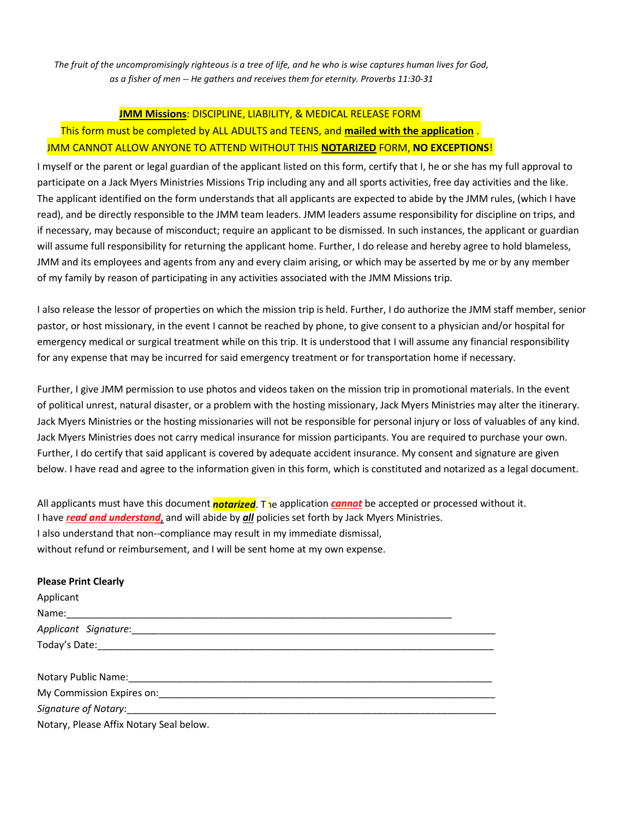The fruit of the uncompromisingly righteous is a tree of life, and he who is wise captures human lives for God, *as a fisher of men -- He gathers and receives them for eternity. Proverbs 11:30-31*

#### **JMM Missions**: DISCIPLINE, LIABILITY, & MEDICAL RELEASE FORM

#### This form must be completed by ALL ADULTS and TEENS, and **mailed with the application** . JMM CANNOT ALLOW ANYONE TO ATTEND WITHOUT THIS **NOTARIZED** FORM, **NO EXCEPTIONS**!

I myself or the parent or legal guardian of the applicant listed on this form, certify that I, he or she has my full approval to participate on a Jack Myers Ministries Missions Trip including any and all sports activities, free day activities and the like. The applicant identified on the form understands that all applicants are expected to abide by the JMM rules, (which I have read), and be directly responsible to the JMM team leaders. JMM leaders assume responsibility for discipline on trips, and if necessary, may because of misconduct; require an applicant to be dismissed. In such instances, the applicant or guardian will assume full responsibility for returning the applicant home. Further, I do release and hereby agree to hold blameless, JMM and its employees and agents from any and every claim arising, or which may be asserted by me or by any member of my family by reason of participating in any activities associated with the JMM Missions trip.

I also release the lessor of properties on which the mission trip is held. Further, I do authorize the JMM staff member, senior pastor, or host missionary, in the event I cannot be reached by phone, to give consent to a physician and/or hospital for emergency medical or surgical treatment while on this trip. It is understood that I will assume any financial responsibility for any expense that may be incurred for said emergency treatment or for transportation home if necessary.

Further, I give JMM permission to use photos and videos taken on the mission trip in promotional materials. In the event of political unrest, natural disaster, or a problem with the hosting missionary, Jack Myers Ministries may alter the itinerary. Jack Myers Ministries or the hosting missionaries will not be responsible for personal injury or loss of valuables of any kind. Jack Myers Ministries does not carry medical insurance for mission participants. You are required to purchase your own. Further, I do certify that said applicant is covered by adequate accident insurance. My consent and signature are given below. I have read and agree to the information given in this form, which is constituted and notarized as a legal document.

All applicants must have this document *notarized*. The application *cannot* be accepted or processed without it. I have *read and understand*, and will abide by *all* policies set forth by Jack Myers Ministries. I also understand that non--compliance may result in my immediate dismissal, without refund or reimbursement, and I will be sent home at my own expense.

#### **Please Print Clearly**

| Applicant                               |  |
|-----------------------------------------|--|
|                                         |  |
| Applicant Signature:_________________   |  |
|                                         |  |
|                                         |  |
|                                         |  |
|                                         |  |
|                                         |  |
| Notary, Please Affix Notary Seal below. |  |